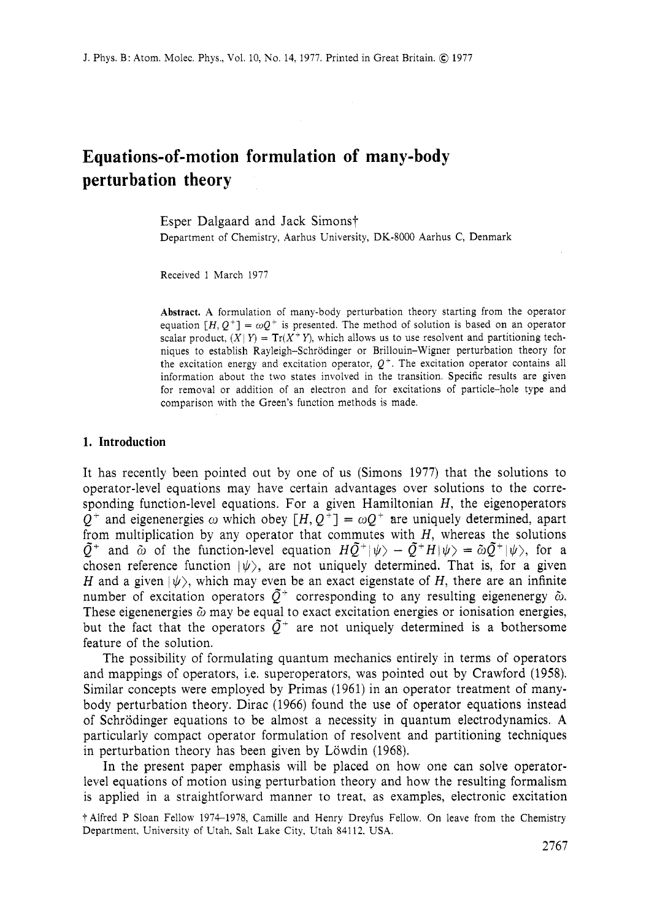# **Equations-of-motion formulation of many-body perturbation theory**

Esper Dalgaard and Jack Simons† Department of Chemistry, Aarhus University, DK-8000 Aarhus C, Denmark

Received 1 March 1977

**Abstract.** A formulation of many-body perturbation theory starting from the operator equation  $[H, Q^+] = \omega Q^+$  is presented. The method of solution is based on an operator scalar product,  $(X|Y) = Tr(X^+Y)$ , which allows us to use resolvent and partitioning techniques to establish Rayleigh-Schrodinger or Brillouin-Wigner perturbation theory for the excitation energy and excitation operator,  $Q<sup>+</sup>$ . The excitation operator contains all information about the two states involved in the transition. Specific results are given for removal or addition of an electron and for excitations of particle-hole type and comparison with the Green's function methods is made.

#### **1. Introduction**

It has recently been pointed out by one of us (Simons 1977) that the solutions to operator-level equations may have certain advantages over solutions to the corresponding function-level equations. For a given Hamiltonian *H,* the eigenoperators  $Q^+$  and eigenenergies  $\omega$  which obey  $[H, Q^+] = \omega Q^+$  are uniquely determined, apart from multiplication by any operator that commutes with *H,* whereas the solutions  $\tilde{Q}^+$  and  $\tilde{\omega}$  of the function-level equation  $H\tilde{Q}^+|\psi\rangle - \tilde{Q}^+H|\psi\rangle = \tilde{\omega}\tilde{Q}^+|\psi\rangle$ , for a chosen reference function  $|\psi\rangle$ , are not uniquely determined. That is, for a given *H* and a given  $|\psi\rangle$ , which may even be an exact eigenstate of *H*, there are an infinite number of excitation operators  $\tilde{Q}^+$  corresponding to any resulting eigenenergy  $\tilde{\omega}$ . These eigenenergies  $\tilde{\omega}$  may be equal to exact excitation energies or ionisation energies, but the fact that the operators  $\bar{O}^+$  are not uniquely determined is a bothersome feature of the solution.

The possibility of formulating quantum mechanics entirely in terms of operators and mappings of operators, i.e. superoperators, was pointed out by Crawford (1958). Similar concepts were employed by Primas (1961) in an operator treatment of manybody perturbation theory. Dirac (1966) found the use of operator equations instead of Schrodinger equations to be almost a necessity in quantum electrodynamics. **A**  particularly compact operator formulation of resolvent and partitioning techniques in perturbation theory has been given by Löwdin (1968).

In the present paper emphasis will be placed on how one can solve operatorlevel equations of motion using perturbation theory and how the resulting formalism is applied in a straightforward manner to treat, as examples, electronic excitation

<sup>†</sup> Alfred P Sloan Fellow 1974-1978, Camille and Henry Dreyfus Fellow. On leave from the Chemistry Department, University of Utah, Salt Lake City, Utah 84112. USA.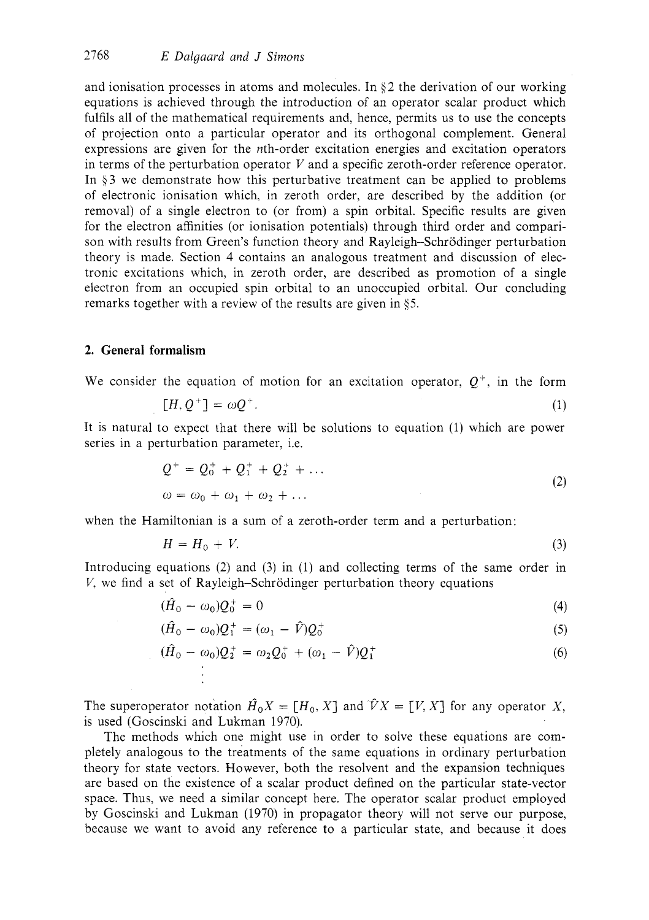and ionisation processes in atoms and molecules. In *3* 2 the derivation of our working equations is achieved through the introduction of an operator scalar product which fulfils all of the mathematical requirements and, hence, permits us to use the concepts of projection onto a particular operator and its orthogonal complement. General expressions are given for the *n*th-order excitation energies and excitation operators in terms of the perturbation operator *V* and a specific zeroth-order reference operator. In 93 we demonstrate how this perturbative treatment can be applied to problems of electronic ionisation which, in zeroth order, are described by the addition (or removal) of a single electron to (or from) a spin orbital. Specific results are given for the electron affinities (or ionisation potentials) through third order and comparison with results from Green's function theory and Rayleigh-Schrodinger perturbation theory is made. Section **4** contains an analogous treatment and discussion of electronic excitations which, in zeroth order, are described as promotion of a single electron from an occupied spin orbital to an unoccupied orbital. Our concluding remarks together with a review of the results are given in **45.** 

#### **2. General formalism**

We consider the equation of motion for an excitation operator,  $O^+$ , in the form

$$
[H, Q^+] = \omega Q^+.
$$

It is natural to expect that there will be solutions to equation (1) which are power series in a perturbation parameter, i.e.

$$
Q^{+} = Q_{0}^{+} + Q_{1}^{+} + Q_{2}^{+} + \dots
$$
  
\n
$$
\omega = \omega_{0} + \omega_{1} + \omega_{2} + \dots
$$
\n(2)

when the Hamiltonian is a sum of a zeroth-order term and a perturbation:

$$
H = H_0 + V. \tag{3}
$$

Introducing equations (2) and (3) in (1) and collecting terms of the same order in *V*, we find a set of Rayleigh–Schrödinger perturbation theory equations

$$
(\hat{H}_0 - \omega_0)Q_0^+ = 0 \tag{4}
$$

$$
(\hat{H}_0 - \omega_0)Q_1^+ = (\omega_1 - \hat{V})Q_0^+
$$
 (5)

$$
(\hat{H}_0 - \omega_0)Q_2^+ = \omega_2 Q_0^+ + (\omega_1 - \hat{V})Q_1^+
$$
\n(6)

The superoperator notation  $\hat{H}_0 X = [H_0, X]$  and  $\hat{V} X = [V, X]$  for any operator *X*, is used (Goscinski and Lukman 1970).

The methods which one might use in order to solve these equations are completely analogous to the treatments of the same equations in ordinary perturbation theory for state vectors. However, both the resolvent and the expansion techniques are based on the existence of a scalar product defined on the particular state-vector space. Thus, we need a similar concept here. The operator scalar product employed by Goscinski and Lukman (1970) in propagator theory will not serve our purpose, because we want to avoid any reference to a particular state, and because it does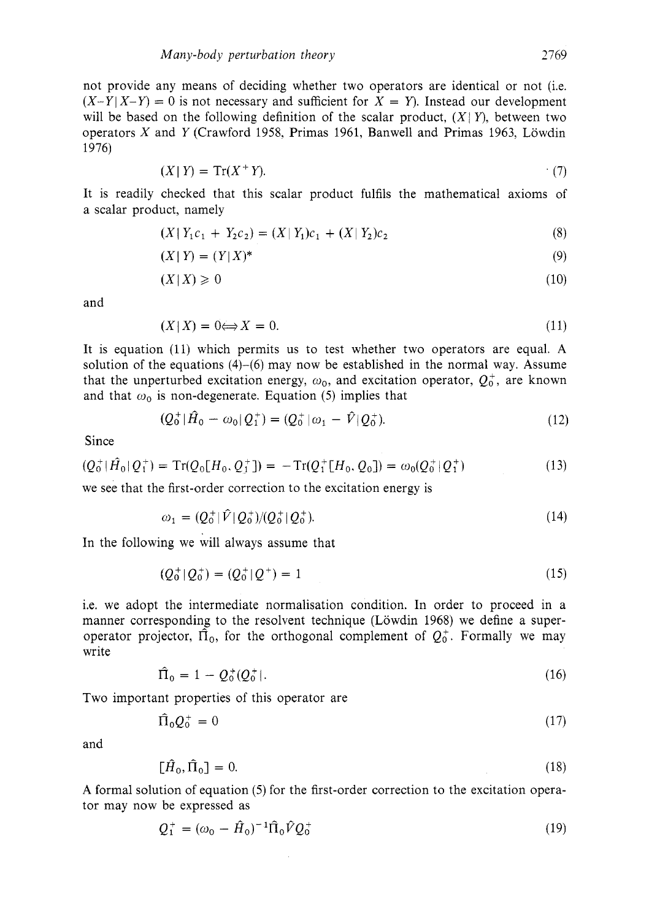not provide any means of deciding whether two operators are identical or not (i.e.  $(X-Y|X-Y) = 0$  is not necessary and sufficient for  $X = Y$ ). Instead our development will be based on the following definition of the scalar product,  $(X|Y)$ , between two operators *X* and *Y* (Crawford 1958, Primas 1961, Banwell and Primas 1963, Lowdin 1976)

$$
(X \mid Y) = \operatorname{Tr}(X^+ Y). \tag{7}
$$

It is readily checked that this scalar product fulfils the mathematical axioms of a scalar product, namely

$$
(X | Y_1 c_1 + Y_2 c_2) = (X | Y_1) c_1 + (X | Y_2) c_2 \tag{8}
$$

$$
(X \mid Y) = (Y \mid X)^* \tag{9}
$$

$$
(X \mid X) \geqslant 0 \tag{10}
$$

and

$$
(X|X) = 0 \Longleftrightarrow X = 0. \tag{11}
$$

It is equation (11) which permits us to test whether two operators are equal. **A**  solution of the equations  $(4)-(6)$  may now be established in the normal way. Assume that the unperturbed excitation energy,  $\omega_0$ , and excitation operator,  $Q_0^+$ , are known and that  $\omega_0$  is non-degenerate. Equation (5) implies that

$$
(Q_0^+ | \hat{H}_0 - \omega_0 | Q_1^+) = (Q_0^+ | \omega_1 - \hat{V} | Q_0^+).
$$
 (12)

Since

$$
(Q_0^+ | \hat{H}_0 | Q_1^+) = \text{Tr}(Q_0 [H_0, Q_1^+]) = -\text{Tr}(Q_1^+ [H_0, Q_0]) = \omega_0 (Q_0^+ | Q_1^+) \tag{13}
$$

we see that the first-order correction to the excitation energy is

$$
\omega_1 = (Q_0^+ | \hat{V} | Q_0^+ ) / (Q_0^+ | Q_0^+ ). \tag{14}
$$

In the following we will always assume that

$$
(Q_0^+|Q_0^+)= (Q_0^+|Q^+)=1
$$
\n(15)

i.e. we adopt the intermediate normalisation condition. In order to proceed in a manner corresponding to the resolvent technique (Löwdin 1968) we define a superoperator projector,  $\hat{\Pi}_0$ , for the orthogonal complement of  $Q_0^+$ . Formally we may write

$$
\hat{\Pi}_0 = 1 - Q_0^+(Q_0^+).
$$
\n(16)

Two important properties of this operator are

$$
\widehat{\Pi}_0 \mathcal{Q}_0^+ = 0 \tag{17}
$$

and

$$
\left[\hat{H}_0, \hat{\Pi}_0\right] = 0. \tag{18}
$$

A formal solution of equation (5) for the first-order correction to the excitation operator may now be expressed as

$$
Q_1^+ = (\omega_0 - \hat{H}_0)^{-1} \hat{\Pi}_0 \hat{V} Q_0^+
$$
 (19)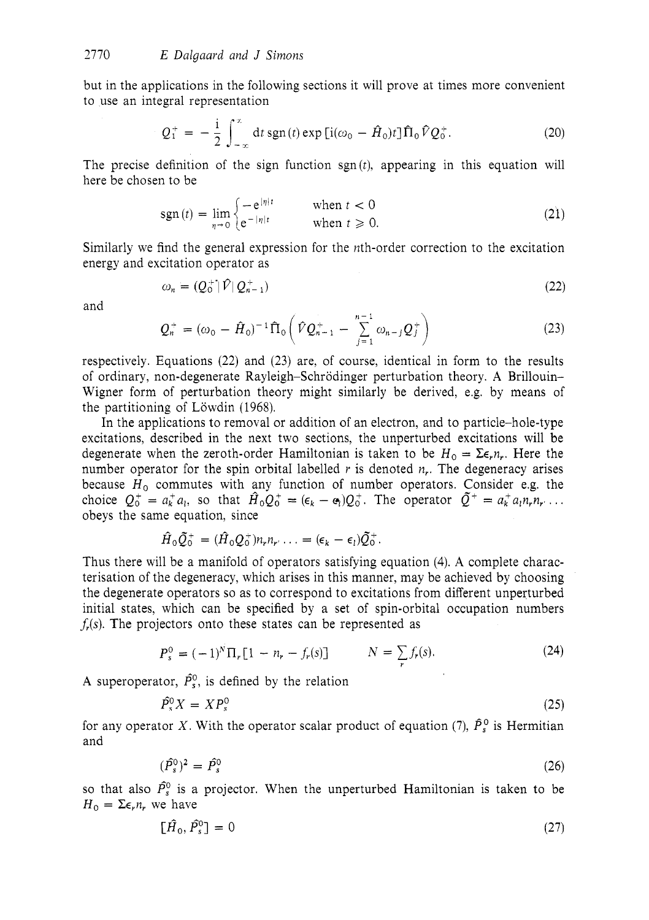but in the applications in the following sections it will prove at times more convenient to use an integral representation

$$
Q_1^+ = -\frac{i}{2} \int_{-\infty}^{\infty} dt \operatorname{sgn}(t) \exp\left[i(\omega_0 - \hat{H}_0)t\right] \hat{\Pi}_0 \hat{V} Q_0^+.
$$
 (20)

The precise definition of the sign function sgn *(t),* appearing in this equation will here be chosen to be

$$
sgn(t) = \lim_{n \to 0} \begin{cases} -e^{|\eta|t} & \text{when } t < 0\\ e^{-|\eta|t} & \text{when } t \ge 0. \end{cases} \tag{21}
$$

Similarly we find the general expression for the *n*th-order correction to the excitation energy and excitation operator as

$$
\omega_n = (Q_0^+ | \hat{V} | Q_{n-1}^+) \tag{22}
$$

and

$$
Q_n^+ = (\omega_0 - \hat{H}_0)^{-1} \hat{\Pi}_0 \left( \hat{V} Q_{n-1}^+ - \sum_{j=1}^{n-1} \omega_{n-j} Q_j^+ \right) \tag{23}
$$

respectively. Equations (22) and (23) are, of course, identical in form to the results of ordinary, non-degenerate Rayleigh-Schrodinger perturbation theory. **A** Brillouin-Wigner form of perturbation theory might similarly be derived, e.g. by means of the partitioning of Löwdin (1968).

In the applications to removal or addition of an electron, and to particle-hole-type excitations, described in the next two sections, the unperturbed excitations will be degenerate when the zeroth-order Hamiltonian is taken to be  $H_0 = \sum \epsilon_n n_i$ . Here the number operator for the spin orbital labelled  $r$  is denoted  $n_r$ . The degeneracy arises because  $H_0$  commutes with any function of number operators. Consider e.g. the choice  $Q_0^+ = a_k^+ a_l$ , so that  $\hat{H}_0 Q_0^+ = (\epsilon_k - \epsilon_l) Q_0^+$ . The operator  $\tilde{Q}^+ = a_k^+ a_l n_r n_r \dots$  obeys the same equation, since

$$
\hat{H}_0 \tilde{Q}_0^+ = (\hat{H}_0 Q_0^+ ) n_r n_r \ldots = (\epsilon_k - \epsilon_l) \tilde{Q}_0^+.
$$

Thus there will be a manifold of operators satisfying equation (4). **A** complete characterisation of the degeneracy, which arises in this manner, may be achieved by choosing the degenerate operators so as to correspond to excitations from different unperturbed initial states, which can be specified by a set of spin-orbital occupation numbers *fi(s).* The projectors onto these states can be represented as

$$
P_s^0 = (-1)^N \Pi_r [1 - n_r - f_r(s)] \qquad N = \sum_r f_r(s). \tag{24}
$$

A superoperator,  $\hat{P}_s^0$ , is defined by the relation

$$
\hat{P}_s^0 X = X P_s^0 \tag{25}
$$

for any operator X. With the operator scalar product of equation (7),  $\hat{P}_s^0$  is Hermitian and

$$
(\hat{P}_s^0)^2 = \hat{P}_s^0 \tag{26}
$$

so that also  $\hat{P}_s^0$  is a projector. When the unperturbed Hamiltonian is taken to be  $H_0 = \sum \epsilon_r n_r$ , we have

$$
\left[\hat{H}_0, \hat{P}_s^0\right] = 0\tag{27}
$$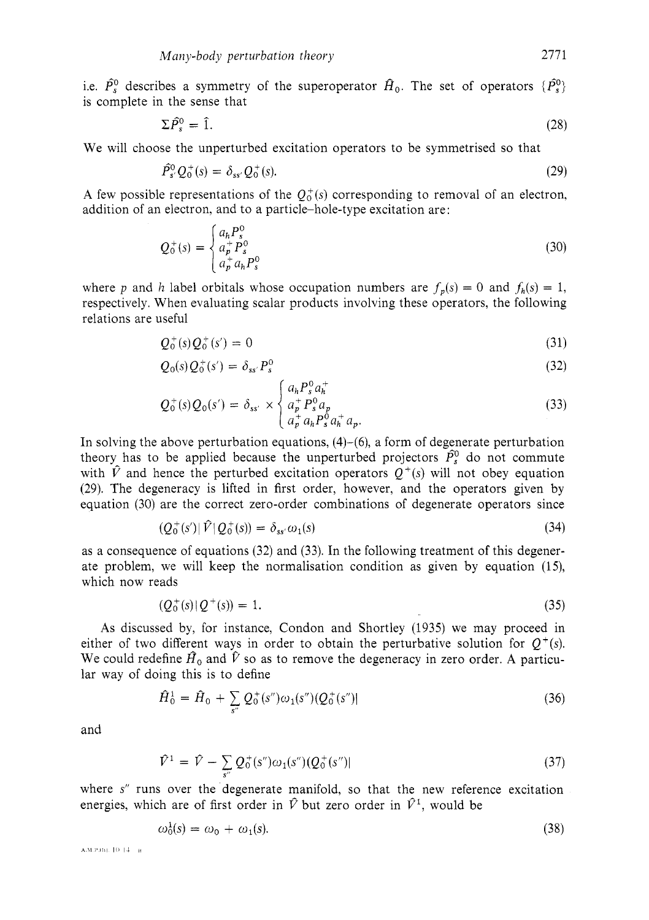i.e.  $\hat{P}_s^0$  describes a symmetry of the superoperator  $\hat{H}_0$ . The set of operators  $\{\hat{P}_s^0\}$ is complete in the sense that

$$
\Sigma \hat{P}_s^0 = \hat{1}.\tag{28}
$$

We will choose the unperturbed excitation operators to be symmetrised so that

$$
\hat{P}_s^0 Q_0^+(s) = \delta_{ss'} Q_0^+(s).
$$
\n(29)

A few possible representations of the  $O_0^+(s)$  corresponding to removal of an electron, addition of an electron, and to a particle-hole-type excitation are:

$$
Q_0^+(s) = \begin{cases} a_h P_s^0 \\ a_p^+ P_s^0 \\ a_p^+ a_h P_s^0 \end{cases}
$$
 (30)

where *p* and *h* label orbitals whose occupation numbers are  $f_p(s) = 0$  and  $f_p(s) = 1$ , respectively. When evaluating scalar products involving these operators, the following relations are useful

$$
Q_0^+(s)Q_0^+(s') = 0 \tag{31}
$$

$$
Q_0(s) Q_0^+(s') = \delta_{ss'} P_s^0
$$
\n(32)

$$
Q_0^+(s)Q_0(s') = \delta_{ss'} \times \begin{cases} a_h P_s^0 a_h \\ a_p^+ P_s^0 a_p \\ a_p^+ a_h P_s^0 a_h^+ a_p. \end{cases}
$$
(33)

In solving the above perturbation equations,  $(4)-(6)$ , a form of degenerate perturbation theory has to be applied because the unperturbed projectors  $\hat{P}_s^0$  do not commute with  $\hat{V}$  and hence the perturbed excitation operators  $Q^+(s)$  will not obey equation (29). The degeneracy is lifted in first order, however, and the operators given by equation (30) are the correct zero-order combinations of degenerate operators since

$$
(Q_0^+(s')|\hat{V}|Q_0^+(s)) = \delta_{ss'}\omega_1(s) \tag{34}
$$

as a consequence of equations (32) and (33). In the following treatment of this degenerate problem, we will keep the normalisation condition as given by equation (15), which now reads

$$
(Q_0^+(s))Q^+(s) = 1.
$$
\n(35)

**As** discussed by, for instance, Condon and Shortley (1935) we may proceed in either of two different ways in order to obtain the perturbative solution for  $Q^+(s)$ . We could redefine  $\hat{H}_0$  and  $\hat{V}$  so as to remove the degeneracy in zero order. A particular way of doing this is to define

$$
\hat{H}_0^1 = \hat{H}_0 + \sum_{s''} Q_0^+(s'')\omega_1(s'') (Q_0^+(s'')| \tag{36}
$$

and

$$
\hat{V}^1 = \hat{V} - \sum_{s''} Q_0^+(s'')\omega_1(s'') (Q_0^+(s'')) \tag{37}
$$

where s" runs over the degenerate manifold, so that the new reference excitation energies, which are of first order in  $\hat{V}$  but zero order in  $\hat{V}$ <sup>1</sup>, would be

$$
\omega_0^1(s) = \omega_0 + \omega_1(s). \tag{38}
$$

А.М.Р.00. 10-14 - в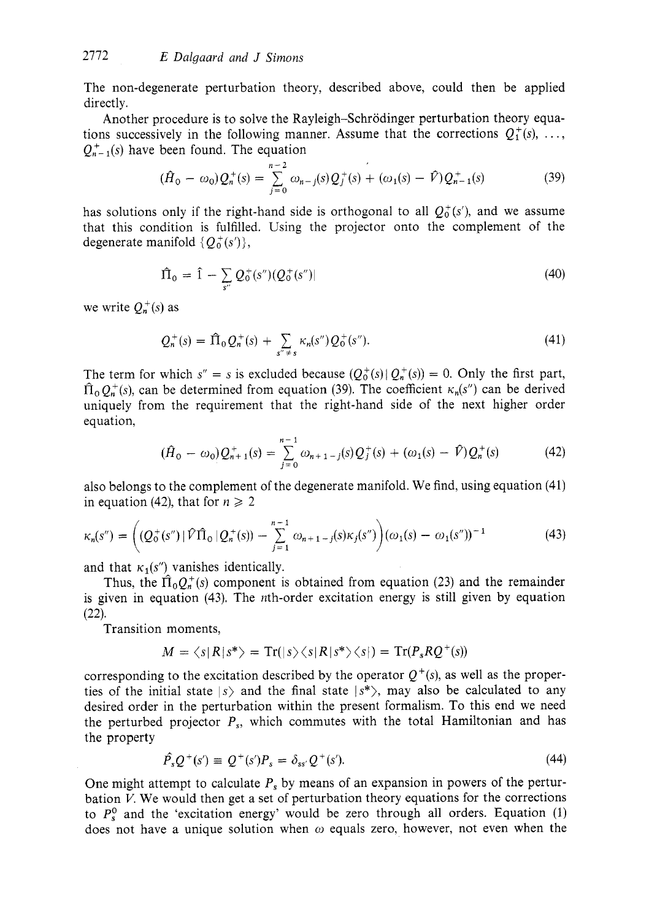The non-degenerate perturbation theory, described above, could then be applied directly.

Another procedure is to solve the Rayleigh-Schrodinger perturbation theory equations successively in the following manner. Assume that the corrections  $Q_1^+(s)$ , ...  $Q_{n-1}^{+}(s)$  have been found. The equation

$$
(\hat{H}_0 - \omega_0) Q_n^+(s) = \sum_{j=0}^{n-2} \omega_{n-j}(s) Q_j^+(s) + (\omega_1(s) - \hat{V}) Q_{n-1}^+(s)
$$
(39)

has solutions only if the right-hand side is orthogonal to all  $Q_0^+(s')$ , and we assume that this condition is fulfilled. Using the projector onto the complement of the degenerate manifold  $\{Q_0^+(s')\},\$ 

$$
\hat{\Pi}_0 = \hat{1} - \sum_{s''} Q_0^+(s'') (Q_0^+(s'')) \tag{40}
$$

we write  $Q_n^+(s)$  as

$$
Q_n^+(s) = \hat{\Pi}_0 Q_n^+(s) + \sum_{s'' \neq s} \kappa_n(s'') Q_0^+(s''). \tag{41}
$$

The term for which  $s'' = s$  is excluded because  $(Q_0^+(s))Q_n^+(s) = 0$ . Only the first part,  $\hat{\Pi}_0 Q_n^+(s)$ , can be determined from equation (39). The coefficient  $\kappa_n(s'')$  can be derived uniquely from the requirement that the right-hand side of the next higher order equation,

$$
(\hat{H}_0 - \omega_0) Q_{n+1}^+(s) = \sum_{j=0}^{n-1} \omega_{n+1-j}(s) Q_j^+(s) + (\omega_1(s) - \hat{V}) Q_n^+(s) \tag{42}
$$

also belongs to the complement of the degenerate manifold. We find, using equation (41) in equation (42), that for  $n \ge 2$ 

$$
\kappa_n(s'') = \left( \left( Q_0^+(s'') \,|\, \hat{V}\hat{\Pi}_0 \,|\, Q_n^+(s) \right) - \sum_{j=1}^{n-1} \omega_{n+1-j}(s) \kappa_j(s'') \right) \left( \omega_1(s) - \omega_1(s'') \right)^{-1} \tag{43}
$$

and that  $\kappa_1(s'')$  vanishes identically.

Thus, the  $\hat{\Pi}_0 Q_n^+(s)$  component is obtained from equation (23) and the remainder is given in equation (43). The nth-order excitation energy is still given by equation (22).

Transition moments,

$$
M = \langle s | R | s^* \rangle = \text{Tr}(|s\rangle \langle s | R | s^* \rangle \langle s |) = \text{Tr}(P_s R Q^+(s))
$$

corresponding to the excitation described by the operator  $Q^+(s)$ , as well as the properties of the initial state  $|s\rangle$  and the final state  $|s^*\rangle$ , may also be calculated to any desired order in the perturbation within the present formalism. To this end we need the perturbed projector  $P_s$ , which commutes with the total Hamiltonian and has the property

$$
\hat{P}_s Q^+(s') \equiv Q^+(s')P_s = \delta_{ss'} Q^+(s'). \tag{44}
$$

One might attempt to calculate *P,* by means of an expansion in powers of the perturbation **I/.** We would then get a set of perturbation theory equations for the corrections to  $P_s^0$  and the 'excitation energy' would be zero through all orders. Equation (1) does not have a unique solution when *o* equals zero, however, not even when the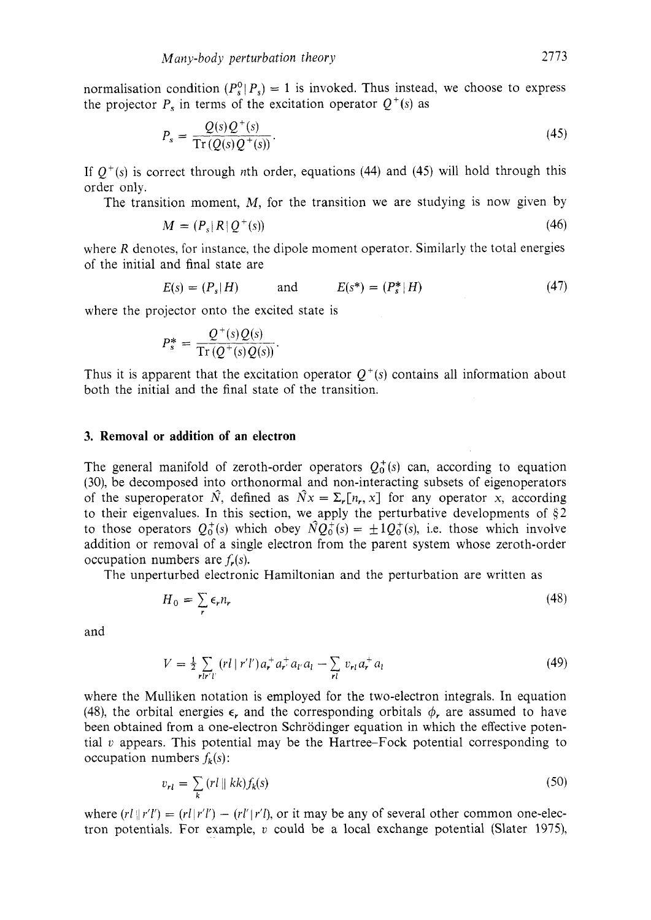normalisation condition  $(P_s^0 | P_s) = 1$  is invoked. Thus instead, we choose to express the projector  $P_s$  in terms of the excitation operator  $Q^+(s)$  as

$$
P_s = \frac{Q(s)Q^+(s)}{\operatorname{Tr}(Q(s)Q^+(s))}.\tag{45}
$$

If  $Q^+(s)$  is correct through nth order, equations (44) and (45) will hold through this order only.

The transition moment, *M,* for the transition we are studying is now given by

$$
M = (P_s | R | Q^+(s))
$$
\n(46)

where *R* denotes, for instance, the dipole moment operator. Similarly the total energies of the initial and final state are

$$
E(s) = (P_s|H)
$$
 and  $E(s^*) = (P_s^*|H)$  (47)

where the projector onto the excited state is

$$
P_s^* = \frac{Q^+(s)Q(s)}{\operatorname{Tr}(Q^+(s)Q(s))}.
$$

Thus it is apparent that the excitation operator  $Q^+(s)$  contains all information about both the initial and the final state of the transition.

### **3. Removal or addition of an electron**

The general manifold of zeroth-order operators  $Q_0^+(s)$  can, according to equation *(30),* be decomposed into orthonormal and non-interacting subsets of eigenoperators of the superoperator  $\hat{N}$ , defined as  $\hat{N}x = \sum_{r} [n_r, x]$  for any operator x, according to their eigenvalues. In this section, we apply the perturbative developments of  $\S$ 2 to those operators  $Q_0^+(s)$  which obey  $\hat{N}Q_0^+(s) = \pm 1Q_0^+(s)$ , i.e. those which involve addition or removal of a single electron from the parent system whose zeroth-order occupation numbers are  $f_r(s)$ .

The unperturbed electronic Hamiltonian and the perturbation are written as

$$
H_0 = \sum_r \epsilon_r n_r \tag{48}
$$

and

$$
V = \frac{1}{2} \sum_{r l r' l'} (r l \mid r' l') a_r^+ a_{r'} a_{l'} a_l - \sum_{r l} v_{r l} a_r^+ a_l
$$
 (49)

where the Mulliken notation is employed for the two-electron integrals. In equation (48), the orbital energies  $\epsilon$ , and the corresponding orbitals  $\phi$ , are assumed to have been obtained from a one-electron Schrodinger equation in which the effective potential  $v$  appears. This potential may be the Hartree-Fock potential corresponding to occupation numbers  $f_k(s)$ :

$$
v_{rl} = \sum_{k} (rl \parallel kk) f_k(s) \tag{50}
$$

where  $(rl | r'l') = (rl | r'l') - (rl' | r'l)$ , or it may be any of several other common one-electron potentials. For example, *U* could be a local exchange potential (Slater 1975),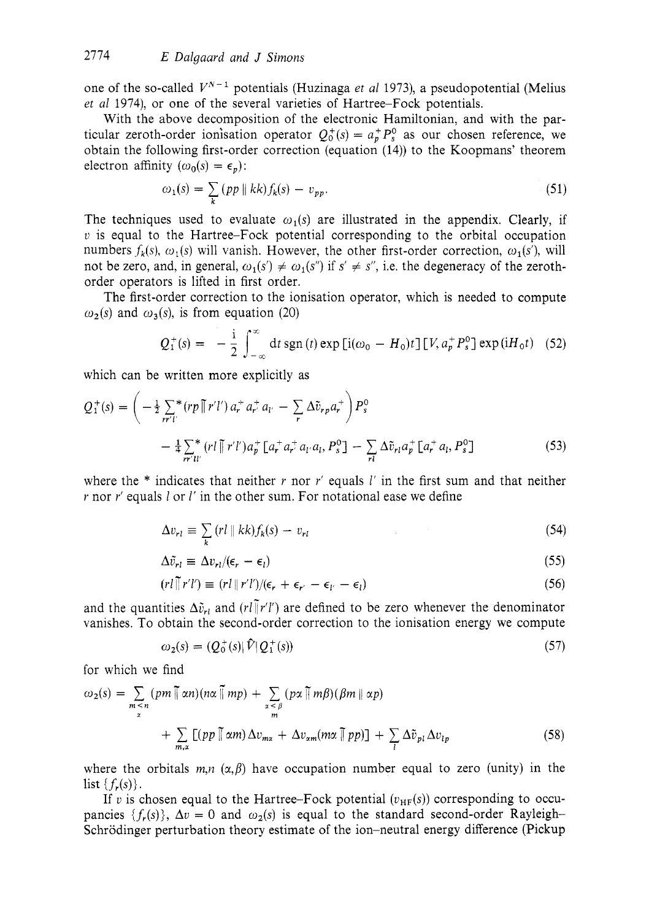one of the so-called  $V^{N-1}$  potentials (Huzinaga *et al* 1973), a pseudopotential (Melius *et a1* 1974), or one of the several varieties of Hartree-Fock potentials.

With the above decomposition of the electronic Hamiltonian, and with the particular zeroth-order ionisation operator  $Q_0^+(s) = a_p^+ P_s^0$  as our chosen reference, we obtain the following first-order correction (equation (14)) to the Koopmans' theorem electron affinity  $(\omega_0(s) = \epsilon_n)$ :

$$
\omega_1(s) = \sum_k (pp \parallel kk) f_k(s) - v_{pp}.
$$
\n(51)

The techniques used to evaluate  $\omega_1(s)$  are illustrated in the appendix. Clearly, if *v* is equal to the Hartree-Fock potential corresponding to the orbital occupation numbers  $f_k(s)$ ,  $\omega_1(s)$  will vanish. However, the other first-order correction,  $\omega_1(s)$ , will not be zero, and, in general,  $\omega_1(s') \neq \omega_1(s'')$  if  $s' \neq s''$ , i.e. the degeneracy of the zerothorder operators is lifted in first order.

The first-order correction to the ionisation operator, which is needed to compute  $\omega_2(s)$  and  $\omega_3(s)$ , is from equation (20)

$$
Q_1^+(s) = -\frac{i}{2} \int_{-\infty}^{\infty} dt \operatorname{sgn}(t) \exp [i(\omega_0 - H_0)t] [V, a_p^+ P_s^0] \exp (iH_0 t) \quad (52)
$$

which can be written more explicitly as

$$
Q_1^+(s) = \left(-\frac{1}{2}\sum_{rr'l'}^{*} (rp \parallel r'l') a_r^+ a_r^+ a_{l'} - \sum_{r} \Delta \tilde{v}_{r} a_r^+ \right) P_s^0
$$
  

$$
- \frac{1}{4} \sum_{rr'l'}^{*} (rl \parallel r'l') a_p^+ \left[a_r^+ a_r^+ a_{l'} a_{l}, P_s^0\right] - \sum_{rl} \Delta \tilde{v}_{rl} a_p^+ \left[a_r^+ a_{l}, P_s^0\right]
$$
(53)

where the \* indicates that neither *r* nor *r'* equals 1' in the first sum and that neither *r* nor *r'* equals *l* or *l'* in the other sum. For notational ease we define

$$
\Delta v_{rl} \equiv \sum_{k} \left( r l \parallel kk \right) f_k(s) - v_{rl} \tag{54}
$$

$$
\Delta \tilde{v}_{rl} \equiv \Delta v_{rl} / (\epsilon_r - \epsilon_l) \tag{55}
$$

$$
(rl \tilde{v}r'l') \equiv (rl \tilde{v}r'l')/(\epsilon_r + \epsilon_{r'} - \epsilon_{l'} - \epsilon_l)
$$
\n(56)

and the quantities  $\Delta \tilde{v}_{rl}$  and  $(rl \tilde{v}/r')$  are defined to be zero whenever the denominator vanishes. To obtain the second-order correction to the ionisation energy we compute

$$
\omega_2(s) = (Q_0^+(s)|\hat{V}|Q_1^+(s))\tag{57}
$$

for which we find

$$
\omega_2(s) = \sum_{\substack{m \le n \\ x}} (pm \sqrt{\pi m}) (n\alpha \sqrt{\pi m} p) + \sum_{\substack{x < \beta \\ m}} (px \sqrt{\pi m} \beta) (\beta m \sqrt{\pi n} p) + \sum_{\substack{x \\ n}} (\beta m \sqrt{\pi m} p) \Delta v_{mx} + \Delta v_{xm} (m\alpha \sqrt{\pi p} p)] + \sum_{l} \Delta \tilde{v}_{pl} \Delta v_{lp}
$$
\n(58)

where the orbitals  $m, n \ (\alpha, \beta)$  have occupation number equal to zero (unity) in the list  $\{f_r(s)\}.$ 

If v is chosen equal to the Hartree-Fock potential  $(v_{HF}(s))$  corresponding to occupancies  $\{f_r(s)\}\$ ,  $\Delta v = 0$  and  $\omega_2(s)$  is equal to the standard second-order Rayleigh-Schrodinger perturbation theory estimate of the ion-neutral energy difference (Pickup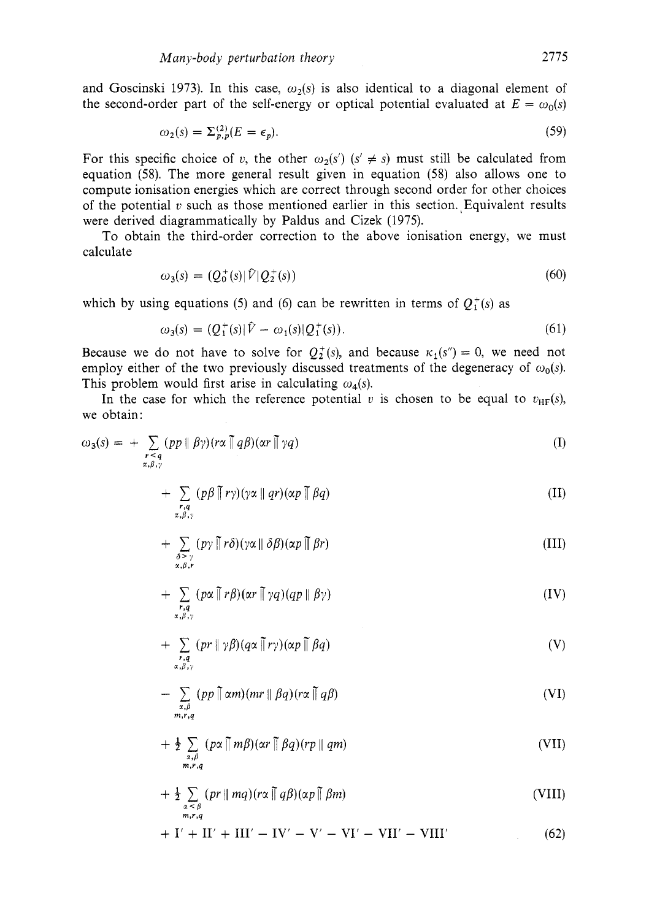and Goscinski 1973). In this case,  $\omega_2(s)$  is also identical to a diagonal element of the second-order part of the self-energy or optical potential evaluated at  $E = \omega_0(s)$ 

$$
\omega_2(s) = \sum_{p,p}^{(2)} (E = \epsilon_p). \tag{59}
$$

For this specific choice of *v*, the other  $\omega_2(s')$  ( $s' \neq s$ ) must still be calculated from equation (58). The more general result given in equation (58) also allows one to compute ionisation energies which are correct through second order for other choices of the potential  $v$  such as those mentioned earlier in this section. Equivalent results were derived diagrammatically by Paldus and Cizek (1975).

To obtain the third-order correction to the above ionisation energy, we must calculate

$$
\omega_3(s) = (Q_0^+(s)|\hat{V}|Q_2^+(s))\tag{60}
$$

which by using equations (5) and (6) can be rewritten in terms of  $Q_{1}^{+}(s)$  as

$$
\omega_3(s) = (Q_1^+(s)|\hat{V} - \omega_1(s)|Q_1^+(s)). \tag{61}
$$

Because we do not have to solve for  $Q_2^+(s)$ , and because  $\kappa_1(s'') = 0$ , we need not employ either of the two previously discussed treatments of the degeneracy of  $\omega_0(s)$ . This problem would first arise in calculating  $\omega_a(s)$ .

In the case for which the reference potential *v* is chosen to be equal to  $v_{HF}(s)$ , we obtain:

$$
\omega_3(s) = + \sum_{\substack{r < q \\ \alpha, \beta, \gamma}} (pp \parallel \beta \gamma)(r\alpha \parallel q\beta)(\alpha r \parallel \gamma q) \tag{I}
$$

$$
+\sum_{\substack{r,q\\ \alpha,\beta,\gamma}} (p\beta \mid \tilde{r}\gamma)(\gamma\alpha \mid\mid qr)(\alpha p \mid \tilde{r}\beta q) \tag{II}
$$

$$
+\sum_{\substack{\delta > \gamma \\ \alpha,\beta,\mathbf{r}}} (p\gamma \mathbin{\|} r\delta)(\gamma\alpha \mathbin{\|} \delta\beta)(\alpha p \mathbin{\|} \beta r) \tag{III}
$$

$$
+\sum_{\substack{r,q\\ \alpha,\beta,\gamma}}(p\alpha \parallel r\beta)(\alpha r \parallel \gamma q)(qp \parallel \beta \gamma) \tag{IV}
$$

$$
+\sum_{\substack{r,q\\ \alpha,\beta,\gamma}}(pr\|\gamma\beta)(q\alpha\,\overline{\|\,}r\gamma)(\alpha p\,\overline{\|\,}\,\beta q)\tag{V}
$$

$$
- \sum_{\substack{\alpha,\beta \\ m,r,q}} (pp \parallel \alpha m)(mr \parallel \beta q)(r\alpha \parallel q\beta)
$$
 (VI)

$$
+\frac{1}{2}\sum_{\substack{x,\beta\\m,r,q}}(p\alpha\prod m\beta)(\alpha r\prod \beta q)(rp\parallel qm) \tag{VII}
$$

$$
+\tfrac{1}{2}\sum_{\substack{\alpha<\beta\\m,r,q}}(pr\parallel mq)(r\alpha\parallel q\beta)(\alpha p\parallel \beta m) \tag{VIII}
$$

$$
+ I' + II' + III' - IV' - V' - VI' - VII' - VIII'
$$
 (62)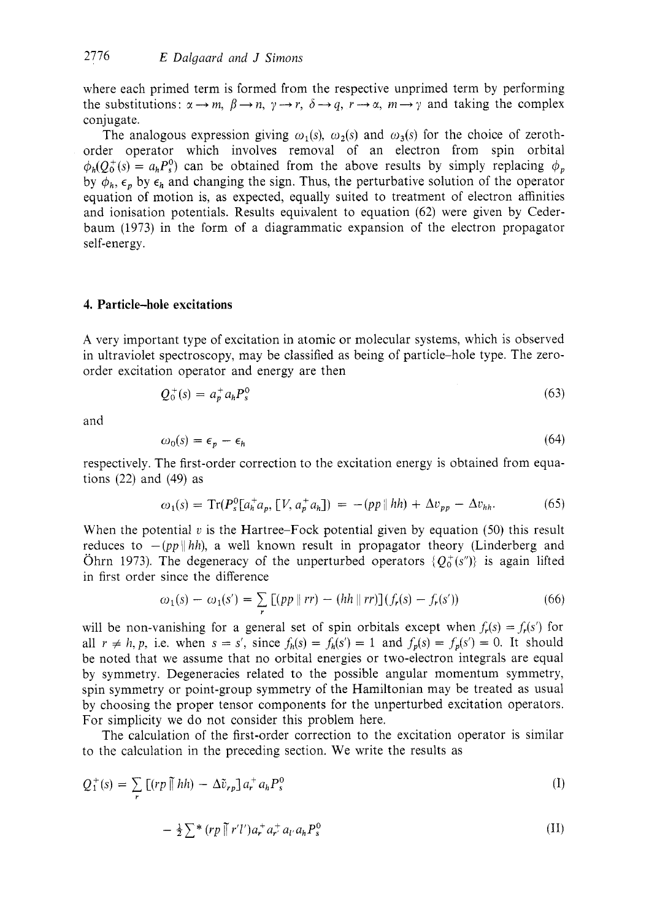where each primed term is formed from the respective unprimed term by performing the substitutions:  $\alpha \rightarrow m$ ,  $\beta \rightarrow n$ ,  $\gamma \rightarrow r$ ,  $\delta \rightarrow q$ ,  $r \rightarrow \alpha$ ,  $m \rightarrow \gamma$  and taking the complex conjugate.

The analogous expression giving  $\omega_1(s)$ ,  $\omega_2(s)$  and  $\omega_3(s)$  for the choice of zerothorder operator which involves removal of an electron from spin orbital  $\phi_h(Q_0^+(s) = a_h P_s^0)$  can be obtained from the above results by simply replacing  $\phi_p$ by  $\phi_h$ ,  $\epsilon_p$  by  $\epsilon_h$  and changing the sign. Thus, the perturbative solution of the operator equation of motion is, as expected, equally suited to treatment of electron affinities and ionisation potentials. Results equivalent to equation (62) were given by Cederbaum (1973) in the form of a diagrammatic expansion of the electron propagator self-energy.

#### **4. Particle-hole excitations**

**A** very important type of excitation in atomic or molecular systems, which is observed in ultraviolet spectroscopy, may be classified as being of particle-hole type. The zeroorder excitation operator and energy are then

$$
Q_0^+(s) = a_p^+ a_h P_s^0 \tag{63}
$$

and

$$
\omega_0(s) = \epsilon_p - \epsilon_h \tag{64}
$$

respectively. The first-order correction to the excitation energy is obtained from equations  $(22)$  and  $(49)$  as

$$
\omega_1(s) = \text{Tr}(P_s^0[a_h^+ a_p, [V, a_p^+ a_h]) = -(pp \, \|hh) + \Delta v_{pp} - \Delta v_{hh}.
$$
 (65)

When the potential  $v$  is the Hartree-Fock potential given by equation  $(50)$  this result reduces to  $-(pp||hh)$ , a well known result in propagator theory (Linderberg and Ohrn 1973). The degeneracy of the unperturbed operators  $\{O_0^+(s'')\}$  is again lifted in first order since the difference

$$
\omega_1(s) - \omega_1(s') = \sum_{r} [(pp \parallel rr) - (hh \parallel rr)] (f_r(s) - f_r(s')) \tag{66}
$$

will be non-vanishing for a general set of spin orbitals except when  $f_r(s) = f_r(s')$  for all  $r \neq h, p$ , i.e. when  $s = s'$ , since  $f_h(s) = f_h(s') = 1$  and  $f_p(s) = f_p(s') = 0$ . It should be noted that we assume that no orbital energies or two-electron integrals are equal by symmetry. Degeneracies related to the possible angular momentum symmetry, spin symmetry or point-group symmetry of the Hamiltonian may be treated as usual by choosing the proper tensor components for the unperturbed excitation operators. For simplicity we do not consider this problem here.

The calculation of the first-order correction to the excitation operator is similar to the calculation in the preceding section. We write the results as

$$
Q_1^+(s) = \sum_r \left[ (r p \prod h h) - \Delta \tilde{v}_{r p} \right] a_r^+ a_h P_s^0 \tag{I}
$$

$$
-\frac{1}{2}\sum_{\mathbf{r}}^{*}\left(\mathbf{r}\mathbf{p}\prod_{\mathbf{r}}^{*}\mathbf{r}'\mathbf{l}'\right)a_{\mathbf{r}}^{+}a_{\mathbf{r}'}^{+}a_{\mathbf{l}'}a_{\mathbf{h}}P_{\mathbf{s}}^{0}\tag{II}
$$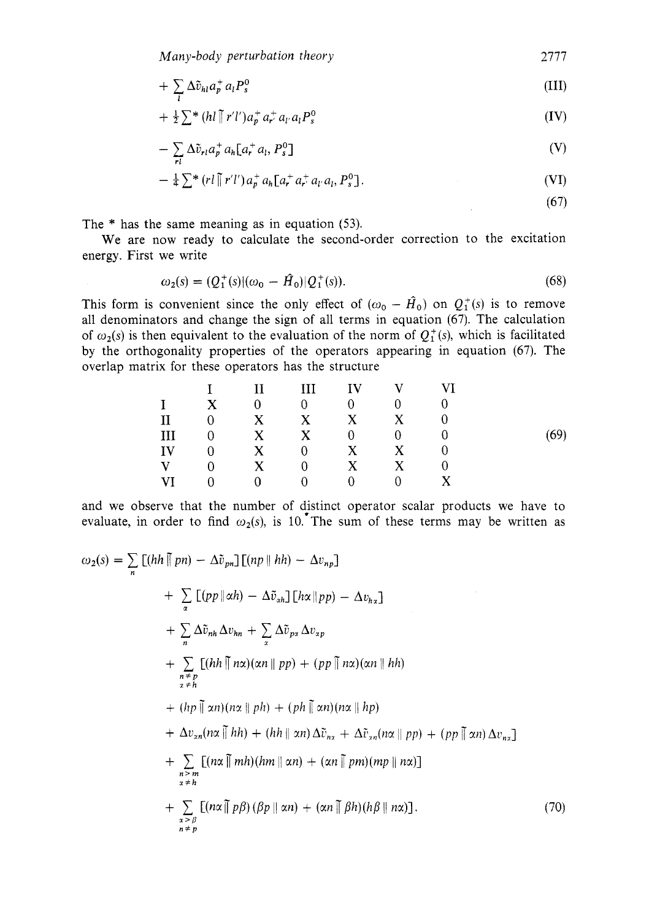$$
+ \sum_{l} \Delta \tilde{v}_{hl} a_p^+ a_l P_s^0 \tag{III}
$$

$$
+\tfrac{1}{2}\sum^{*}\left(h l \prod^{*} r' l'\right) a_{p}^{+} a_{r'}^{+} a_{l'} a_{l} P_{s}^{0}
$$
\n(IV)

$$
-\sum_{\mathbf{r}l} \Delta \tilde{v}_{\mathbf{r}l} a_{\mathbf{r}}^{\dagger} a_{\mathbf{h}} [a_{\mathbf{r}}^{\dagger} a_l, P_s^0]
$$
 (V)

$$
-\frac{1}{4}\sum_{i}^{*} (rl \tilde{||} r'l') a_{p}^{+} a_{h} [a_{r}^{+} a_{r'}^{+} a_{l'} a_{l}, P_{s}^{0}]. \qquad (VI)
$$

(67)

The \* has the same meaning as in equation (53).

energy. First we write We are now ready to calculate the second-order correction to the excitation

$$
\omega_2(s) = (Q_1^+(s)|(\omega_0 - \hat{H}_0)|Q_1^+(s)).
$$
\n(68)

This form is convenient since the only effect of  $(\omega_0 - \hat{H}_0)$  on  $Q_1^+(s)$  is to remove all denominators and change the sign of all terms in equation (67). The calculation of  $\omega_2(s)$  is then equivalent to the evaluation of the norm of  $Q_1^+(s)$ , which is facilitated by the orthogonality properties of the operators appearing in equation (67). The overlap matrix for these operators has the structure

$$
\begin{array}{ccccccccc} & & I & & II & & III & & IV & & V & & VI \\ I & X & 0 & 0 & 0 & 0 & 0 & \\ II & 0 & X & X & X & X & 0 & \\ III & 0 & X & X & 0 & 0 & 0 & \\ IV & 0 & X & 0 & X & X & 0 & \\ V & 0 & X & 0 & X & X & 0 & \\ V & 0 & 0 & 0 & 0 & 0 & X & \\ \end{array} \hspace{1.5cm} (69)
$$

and we observe that the number of distinct operator scalar products we have to evaluate, in order to find  $\omega_2(s)$ , is 10. The sum of these terms may be written as

$$
\omega_2(s) = \sum_{n} [(hh \parallel pn) - \Delta \tilde{v}_{pn}] [(np \parallel hh) - \Delta v_{np}]
$$
  
+ 
$$
\sum_{\alpha} [(pp \parallel \alpha h) - \Delta \tilde{v}_{\alpha h}] [h\alpha \parallel pp) - \Delta v_{hz}]
$$
  
+ 
$$
\sum_{n} \Delta \tilde{v}_{nh} \Delta v_{hn} + \sum_{\alpha} \Delta \tilde{v}_{px} \Delta v_{\alpha p}
$$
  
+ 
$$
\sum_{\substack{n \neq p \\ n \neq h}} [(hh \parallel n\alpha)(\alpha n \parallel pp) + (pp \parallel n\alpha)(\alpha n \parallel hh)
$$
  
+ 
$$
(hp \parallel \alpha n)(n\alpha \parallel ph) + (ph \parallel \alpha n)(n\alpha \parallel hp)
$$
  
+ 
$$
\Delta v_{\alpha n}(n\alpha \parallel hh) + (hh \parallel \alpha n) \Delta \tilde{v}_{nz} + \Delta \tilde{v}_{\alpha n}(n\alpha \parallel pp) + (pp \parallel \alpha n) \Delta v_{nz}]
$$
  
+ 
$$
\sum_{\substack{n \geq m \\ n \neq h}} [(n\alpha \parallel mh)(hm \parallel \alpha n) + (\alpha n \parallel pm)(mp \parallel n\alpha)]
$$
  
+ 
$$
\sum_{\substack{n \geq m \\ n \neq p}} [(n\alpha \parallel pf)(\beta p \parallel \alpha n) + (\alpha n \parallel \beta h)(h\beta \parallel n\alpha)].
$$
(70)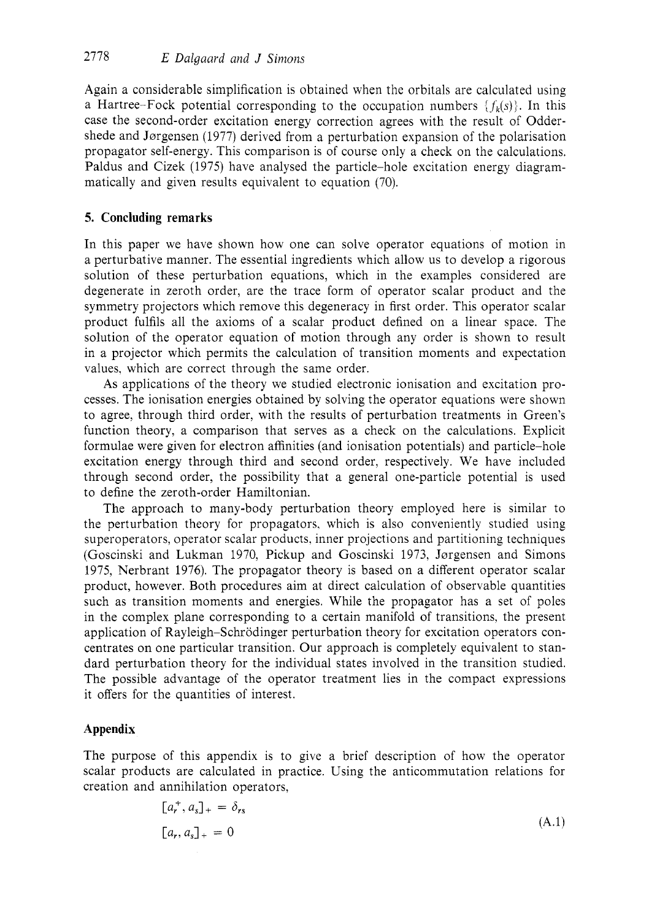Again a considerable simplification is obtained when the orbitals are calculated using a Hartree-Fock potential corresponding to the occupation numbers  $\{f_k(s)\}\$ . In this case the second-order excitation energy correction agrees with the result of Oddershede and Jorgensen (1977) derived from a perturbation expansion of the polarisation propagator self-energy. This comparison is of course only a check on the calculations. Paldus and Cizek (1975) have analysed the particle-hole excitation energy diagrammatically and given results equivalent to equation (70).

## **5. Concluding remarks**

In this paper we have shown how one can solve operator equations of motion in a perturbative manner. The essential ingredients which allow us to develop a rigorous solution of these perturbation equations, which in the examples considered are degenerate in zeroth order, are the trace form of operator scalar product and the symmetry projectors which remove this degeneracy in first order. This operator scalar product fulfils all the axioms of a scalar product defined on a linear space. The solution of the operator equation of motion through any order is shown to result in a projector which permits the calculation of transition moments and expectation values, which are correct through the same order.

As applications of the theory we studied electronic ionisation and excitation processes. The ionisation energies obtained by solving the operator equations were shown to agree, through third order, with the results of perturbation treatments in Green's function theory, a comparison that serves as a check on the calculations. Explicit formulae were given for electron affinities (and ionisation potentials) and particle-hole excitation energy through third and second order, respectively. We have included through second order, the possibility that a general one-particle potential is used to define the zeroth-order Hamiltonian.

The approach to many-body perturbation theory employed here is similar to the perturbation theory for propagators, which is also conveniently studied using superoperators, operator scalar products, inner projections and partitioning techniques (Goscinski and Lukman 1970, Pickup and Goscinski 1973, Jørgensen and Simons 1975, Nerbrant 1976). The propagator theory is based on a different operator scalar product, however. Both procedures aim at direct calculation of observable quantities such as transition moments and energies. While the propagator has a set of poles in the complex plane corresponding to a certain manifold of transitions, the present application of Rayleigh–Schrödinger perturbation theory for excitation operators concentrates on one particular transition. Our approach is completely equivalent to standard perturbation theory for the individual states involved in the transition studied. The possible advantage of the operator treatment lies in the compact expressions it offers for the quantities of interest.

## **Appendix**

The purpose of this appendix is to give a brief description of how the operator scalar products are calculated in practice. Using the anticommutation relations for creation and annihilation operators,

$$
[a_r^+, a_s]_+ = \delta_{rs}
$$
  

$$
[a_r, a_s]_+ = 0
$$
 (A.1)